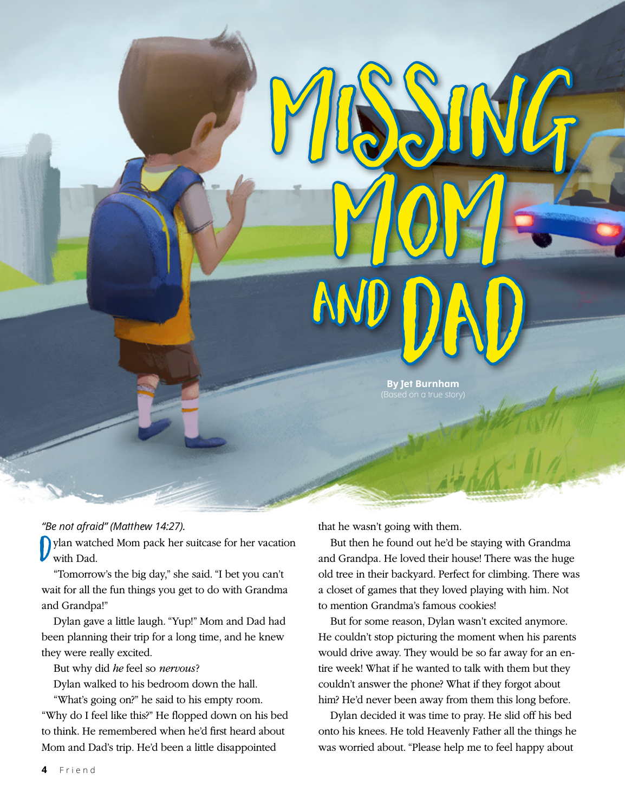DOND **By Jet Burnham**

Missing

MOM-

*"Be not afraid" (Matthew 14:27).*

 $\mathring{\mathsf{D}}$ ylan watched Mom pack her suitcase for her vacation with Dad.

"Tomorrow's the big day," she said. "I bet you can't wait for all the fun things you get to do with Grandma and Grandpa!"

Dylan gave a little laugh. "Yup!" Mom and Dad had been planning their trip for a long time, and he knew they were really excited.

But why did *he* feel so *nervous* ?

Dylan walked to his bedroom down the hall.

"What's going on?" he said to his empty room. "Why do I feel like this?" He flopped down on his bed to think. He remembered when he'd first heard about Mom and Dad's trip. He'd been a little disappointed

that he wasn't going with them.

and

But then he found out he'd be staying with Grandma and Grandpa. He loved their house! There was the huge old tree in their backyard. Perfect for climbing. There was a closet of games that they loved playing with him. Not to mention Grandma's famous cookies!

But for some reason, Dylan wasn't excited anymore. He couldn't stop picturing the moment when his parents would drive away. They would be so far away for an entire week! What if he wanted to talk with them but they couldn't answer the phone? What if they forgot about him? He'd never been away from them this long before.

Dylan decided it was time to pray. He slid off his bed onto his knees. He told Heavenly Father all the things he was worried about. "Please help me to feel happy about